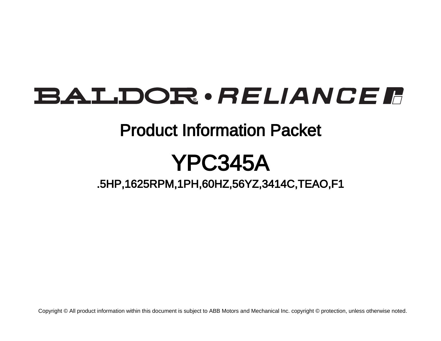# BALDOR · RELIANCE F

## Product Information Packet

# YPC345A

.5HP,1625RPM,1PH,60HZ,56YZ,3414C,TEAO,F1

Copyright © All product information within this document is subject to ABB Motors and Mechanical Inc. copyright © protection, unless otherwise noted.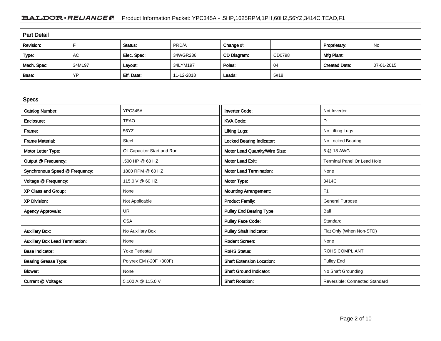### BALDOR · RELIANCE F Product Information Packet: YPC345A - .5HP,1625RPM,1PH,60HZ,56YZ,3414C,TEAO,F1

| <b>Part Detail</b> |        |             |            |             |        |                      |            |
|--------------------|--------|-------------|------------|-------------|--------|----------------------|------------|
| Revision:          |        | Status:     | PRD/A      | Change #:   |        | Proprietary:         | No         |
| Type:              | AC     | Elec. Spec: | 34WGR236   | CD Diagram: | CD0798 | Mfg Plant:           |            |
| Mech. Spec:        | 34M197 | Layout:     | 34LYM197   | Poles:      | 04     | <b>Created Date:</b> | 07-01-2015 |
| Base:              | YP     | Eff. Date:  | 11-12-2018 | Leads:      | 5#18   |                      |            |

| <b>Specs</b>                           |                             |                                  |                                       |
|----------------------------------------|-----------------------------|----------------------------------|---------------------------------------|
| <b>Catalog Number:</b>                 | YPC345A                     | <b>Inverter Code:</b>            | Not Inverter                          |
| Enclosure:                             | <b>TEAO</b>                 | <b>KVA Code:</b>                 | D                                     |
| Frame:                                 | 56YZ                        | <b>Lifting Lugs:</b>             | No Lifting Lugs                       |
| <b>Frame Material:</b>                 | Steel                       | Locked Bearing Indicator:        | No Locked Bearing                     |
| Motor Letter Type:                     | Oil Capacitor Start and Run | Motor Lead Quantity/Wire Size:   | 5 @ 18 AWG                            |
| Output @ Frequency:                    | .500 HP @ 60 HZ             | <b>Motor Lead Exit:</b>          | <b>Terminal Panel Or Lead Hole</b>    |
| Synchronous Speed @ Frequency:         | 1800 RPM @ 60 HZ            | <b>Motor Lead Termination:</b>   | None                                  |
| Voltage @ Frequency:                   | 115.0 V @ 60 HZ             | Motor Type:                      | 3414C                                 |
| XP Class and Group:                    | None                        | <b>Mounting Arrangement:</b>     | F1                                    |
| <b>XP Division:</b>                    | Not Applicable              | <b>Product Family:</b>           | <b>General Purpose</b>                |
| <b>Agency Approvals:</b>               | <b>UR</b>                   | <b>Pulley End Bearing Type:</b>  | Ball                                  |
|                                        | <b>CSA</b>                  | <b>Pulley Face Code:</b>         | Standard                              |
| <b>Auxillary Box:</b>                  | No Auxillary Box            | <b>Pulley Shaft Indicator:</b>   | Flat Only (When Non-STD)              |
| <b>Auxillary Box Lead Termination:</b> | None                        | <b>Rodent Screen:</b>            | None                                  |
| <b>Base Indicator:</b>                 | <b>Yoke Pedestal</b>        | <b>RoHS Status:</b>              | <b>ROHS COMPLIANT</b>                 |
| <b>Bearing Grease Type:</b>            | Polyrex EM (-20F +300F)     | <b>Shaft Extension Location:</b> | Pulley End                            |
| <b>Blower:</b>                         | None                        | <b>Shaft Ground Indicator:</b>   | No Shaft Grounding                    |
| Current @ Voltage:                     | 5.100 A @ 115.0 V           | <b>Shaft Rotation:</b>           | <b>Reversible: Connected Standard</b> |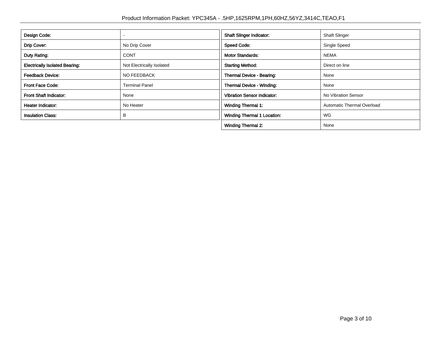| Design Code:                          |                           | <b>Shaft Slinger Indicator:</b>    | <b>Shaft Slinger</b>       |
|---------------------------------------|---------------------------|------------------------------------|----------------------------|
| Drip Cover:                           | No Drip Cover             | <b>Speed Code:</b>                 | Single Speed               |
| Duty Rating:                          | <b>CONT</b>               | <b>Motor Standards:</b>            | <b>NEMA</b>                |
| <b>Electrically Isolated Bearing:</b> | Not Electrically Isolated | <b>Starting Method:</b>            | Direct on line             |
| <b>Feedback Device:</b>               | NO FEEDBACK               | Thermal Device - Bearing:          | None                       |
| <b>Front Face Code:</b>               | <b>Terminal Panel</b>     | Thermal Device - Winding:          | None                       |
| <b>Front Shaft Indicator:</b>         | None                      | <b>Vibration Sensor Indicator:</b> | No Vibration Sensor        |
| Heater Indicator:                     | No Heater                 | Winding Thermal 1:                 | Automatic Thermal Overload |
| <b>Insulation Class:</b>              | B                         | <b>Winding Thermal 1 Location:</b> | <b>WG</b>                  |
|                                       |                           | <b>Winding Thermal 2:</b>          | None                       |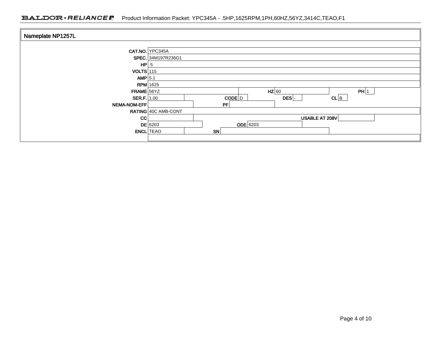### BALDOR · RELIANCE F Product Information Packet: YPC345A - .5HP,1625RPM,1PH,60HZ,56YZ,3414C,TEAO,F1

| Nameplate NP1257L |                     |                           |
|-------------------|---------------------|---------------------------|
|                   | CAT.NO. YPC345A     |                           |
|                   | SPEC. 34M197R236G1  |                           |
| HP                | .5                  |                           |
| $VOLTS$ 115       |                     |                           |
| AMP $5.1$         |                     |                           |
| $RPM$ 1625        |                     |                           |
| FRAME 56YZ        |                     | $HZ$ 60<br>PH 1           |
| SER.F.   1.00     |                     | CL B<br>$CODE$ $D$<br>DES |
| NEMA-NOM-EFF      |                     | PF                        |
|                   | RATING 40C AMB-CONT |                           |
| cc                |                     | USABLE AT 208V            |
|                   | $DE$ 6203           | $ODE$ 6203                |
| <b>ENCL</b> TEAO  |                     | <b>SN</b>                 |
|                   |                     |                           |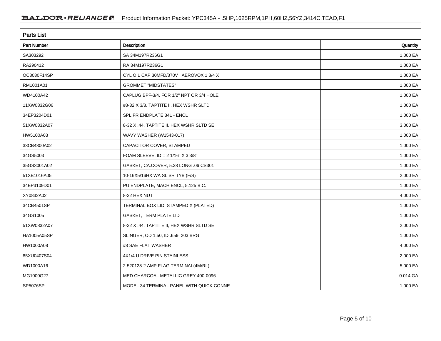| <b>Parts List</b>  |                                          |          |  |  |  |
|--------------------|------------------------------------------|----------|--|--|--|
| <b>Part Number</b> | Description                              | Quantity |  |  |  |
| SA303292           | SA 34M197R236G1                          | 1.000 EA |  |  |  |
| RA290412           | RA 34M197R236G1                          | 1.000 EA |  |  |  |
| OC3030F14SP        | CYL OIL CAP 30MFD/370V AEROVOX 1 3/4 X   | 1.000 EA |  |  |  |
| RM1001A01          | <b>GROMMET "MIDSTATES"</b>               | 1.000 EA |  |  |  |
| WD4100A42          | CAPLUG BPF-3/4, FOR 1/2" NPT OR 3/4 HOLE | 1.000 EA |  |  |  |
| 11XW0832G06        | #8-32 X 3/8, TAPTITE II, HEX WSHR SLTD   | 1.000 EA |  |  |  |
| 34EP3204D01        | SPL FR ENDPLATE 34L - ENCL               | 1.000 EA |  |  |  |
| 51XW0832A07        | 8-32 X .44, TAPTITE II, HEX WSHR SLTD SE | 3.000 EA |  |  |  |
| HW5100A03          | WAVY WASHER (W1543-017)                  | 1.000 EA |  |  |  |
| 33CB4800A02        | CAPACITOR COVER, STAMPED                 | 1.000 EA |  |  |  |
| 34GS5003           | FOAM SLEEVE, ID = $21/16"$ X 3 3/8"      | 1.000 EA |  |  |  |
| 35GS3001A02        | GASKET, CA.COVER, 5.38 LONG .06 CS301    | 1.000 EA |  |  |  |
| 51XB1016A05        | 10-16X5/16HX WA SL SR TYB (F/S)          | 2.000 EA |  |  |  |
| 34EP3109D01        | PU ENDPLATE, MACH ENCL, 5.125 B.C.       | 1.000 EA |  |  |  |
| XY0832A02          | 8-32 HEX NUT                             | 4.000 EA |  |  |  |
| 34CB4501SP         | TERMINAL BOX LID, STAMPED X (PLATED)     | 1.000 EA |  |  |  |
| 34GS1005           | <b>GASKET, TERM PLATE LID</b>            | 1.000 EA |  |  |  |
| 51XW0832A07        | 8-32 X .44, TAPTITE II, HEX WSHR SLTD SE | 2.000 EA |  |  |  |
| HA1005A05SP        | SLINGER, OD 1.50, ID .659, 203 BRG       | 1.000 EA |  |  |  |
| HW1000A08          | #8 SAE FLAT WASHER                       | 4.000 EA |  |  |  |
| 85XU0407S04        | 4X1/4 U DRIVE PIN STAINLESS              | 2.000 EA |  |  |  |
| WD1000A16          | 2-520128-2 AMP FLAG TERMINAL(4M/RL)      | 5.000 EA |  |  |  |
| MG1000G27          | MED CHARCOAL METALLIC GREY 400-0096      | 0.014 GA |  |  |  |
| SP5076SP           | MODEL 34 TERMINAL PANEL WITH QUICK CONNE | 1.000 EA |  |  |  |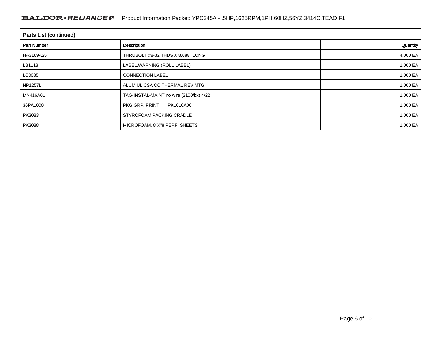### BALDOR · RELIANCE F Product Information Packet: YPC345A - .5HP,1625RPM,1PH,60HZ,56YZ,3414C,TEAO,F1

| Parts List (continued) |                                         |              |  |  |  |
|------------------------|-----------------------------------------|--------------|--|--|--|
| <b>Part Number</b>     | Description                             | Quantity     |  |  |  |
| HA3169A25              | THRUBOLT #8-32 THDS X 8.688" LONG       | 4.000 EA     |  |  |  |
| LB1118                 | LABEL, WARNING (ROLL LABEL)             | 1.000 EA     |  |  |  |
| LC0085                 | <b>CONNECTION LABEL</b>                 | 1.000 EA     |  |  |  |
| <b>NP1257L</b>         | ALUM UL CSA CC THERMAL REV MTG          | 1.000 EA     |  |  |  |
| MN416A01               | TAG-INSTAL-MAINT no wire (2100/bx) 4/22 | 1.000 EA     |  |  |  |
| 36PA1000               | PKG GRP, PRINT<br>PK1016A06             | 1.000 EA     |  |  |  |
| PK3083                 | STYROFOAM PACKING CRADLE                | 1.000 EA     |  |  |  |
| PK3088                 | MICROFOAM, 8"X"8 PERF. SHEETS           | 1.000 EA $ $ |  |  |  |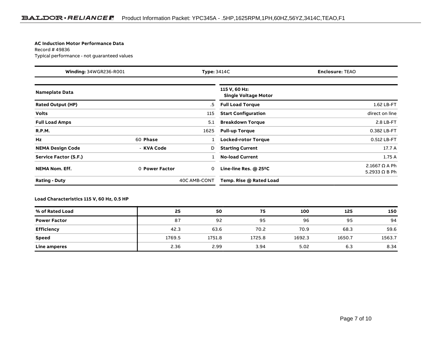#### **AC Induction Motor Performance Data**

Record # 49836Typical performance - not guaranteed values

| <b>Winding: 34WGR236-R001</b> |                | <b>Type: 3414C</b><br><b>Enclosure: TEAO</b> |                                              |                                              |
|-------------------------------|----------------|----------------------------------------------|----------------------------------------------|----------------------------------------------|
| <b>Nameplate Data</b>         |                |                                              | 115 V, 60 Hz:<br><b>Single Voltage Motor</b> |                                              |
| <b>Rated Output (HP)</b>      |                | .5                                           | <b>Full Load Torque</b>                      | 1.62 LB-FT                                   |
| <b>Volts</b>                  |                | 115                                          | <b>Start Configuration</b>                   | direct on line                               |
| <b>Full Load Amps</b>         |                | 5.1                                          | <b>Breakdown Torque</b>                      | 2.8 LB-FT                                    |
| <b>R.P.M.</b>                 |                | 1625                                         | <b>Pull-up Torque</b>                        | 0.382 LB-FT                                  |
| <b>Hz</b>                     | 60 Phase       |                                              | Locked-rotor Torque                          | 0.512 LB-FT                                  |
| <b>NEMA Design Code</b>       | - KVA Code     | D                                            | <b>Starting Current</b>                      | 17.7 A                                       |
| Service Factor (S.F.)         |                |                                              | <b>No-load Current</b>                       | 1.75A                                        |
| <b>NEMA Nom. Eff.</b>         | 0 Power Factor | 0                                            | Line-line Res. @ 25°C                        | 2.1667 $\Omega$ A Ph<br>5.2933 $\Omega$ B Ph |
| <b>Rating - Duty</b>          |                | 40C AMB-CONT                                 | Temp. Rise @ Rated Load                      |                                              |

#### **Load Characteristics 115 V, 60 Hz, 0.5 HP**

| % of Rated Load     | 25     | 50     | 75     | 100    | 125    | 150    |
|---------------------|--------|--------|--------|--------|--------|--------|
| <b>Power Factor</b> | 87     | 92     | 95     | 96     | 95     | 94     |
| Efficiency          | 42.3   | 63.6   | 70.2   | 70.9   | 68.3   | 59.6   |
| <b>Speed</b>        | 1769.5 | 1751.8 | 1725.8 | 1692.3 | 1650.7 | 1563.7 |
| Line amperes        | 2.36   | 2.99   | 3.94   | 5.02   | 6.3    | 8.34   |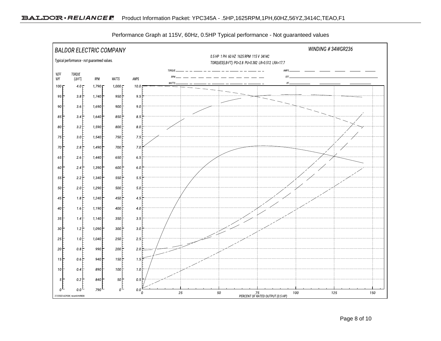

Performance Graph at 115V, 60Hz, 0.5HP Typical performance - Not guaranteed values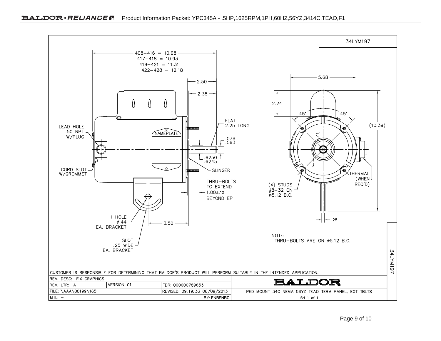